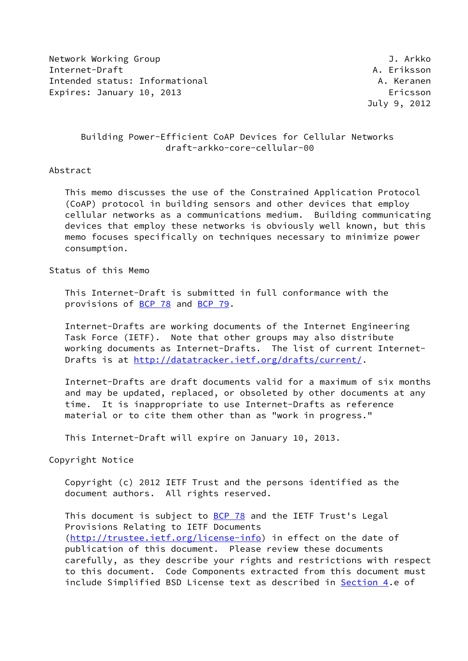Network Working Group J. Arkko J. Arkko J. Arkko J. Arkko J. Arkko J. Arkko J. Arkko J. Arkko J. Arkko J. Arkko Internet-Draft A. Eriksson Intended status: Informational A. Keranen Expires: January 10, 2013 **Expires: Expires: 19, 2013** 

July 9, 2012

# Building Power-Efficient CoAP Devices for Cellular Networks draft-arkko-core-cellular-00

## Abstract

 This memo discusses the use of the Constrained Application Protocol (CoAP) protocol in building sensors and other devices that employ cellular networks as a communications medium. Building communicating devices that employ these networks is obviously well known, but this memo focuses specifically on techniques necessary to minimize power consumption.

Status of this Memo

 This Internet-Draft is submitted in full conformance with the provisions of [BCP 78](https://datatracker.ietf.org/doc/pdf/bcp78) and [BCP 79](https://datatracker.ietf.org/doc/pdf/bcp79).

 Internet-Drafts are working documents of the Internet Engineering Task Force (IETF). Note that other groups may also distribute working documents as Internet-Drafts. The list of current Internet Drafts is at<http://datatracker.ietf.org/drafts/current/>.

 Internet-Drafts are draft documents valid for a maximum of six months and may be updated, replaced, or obsoleted by other documents at any time. It is inappropriate to use Internet-Drafts as reference material or to cite them other than as "work in progress."

This Internet-Draft will expire on January 10, 2013.

Copyright Notice

 Copyright (c) 2012 IETF Trust and the persons identified as the document authors. All rights reserved.

This document is subject to **[BCP 78](https://datatracker.ietf.org/doc/pdf/bcp78)** and the IETF Trust's Legal Provisions Relating to IETF Documents [\(http://trustee.ietf.org/license-info](http://trustee.ietf.org/license-info)) in effect on the date of publication of this document. Please review these documents carefully, as they describe your rights and restrictions with respect to this document. Code Components extracted from this document must include Simplified BSD License text as described in [Section 4.](#page-9-0)e of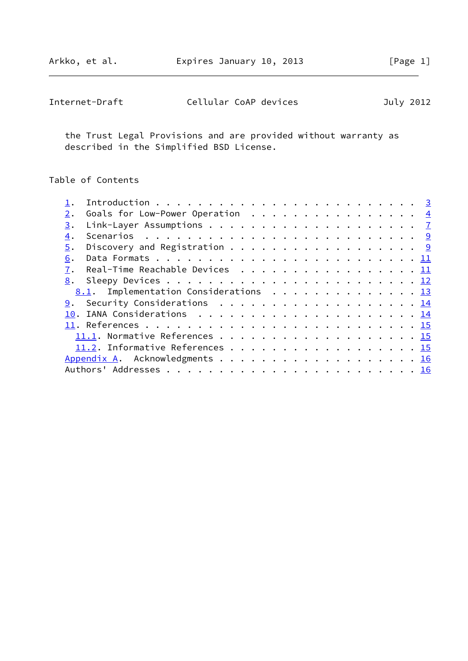Arkko, et al. **Expires January 10, 2013** [Page 1]

| Internet-Draft | Cellular CoAP devices | July 2012 |
|----------------|-----------------------|-----------|
|----------------|-----------------------|-----------|

 the Trust Legal Provisions and are provided without warranty as described in the Simplified BSD License.

# Table of Contents

| 2. |                                 |  |  |  |  |  |  |  |                                                                                                                                                                                             |
|----|---------------------------------|--|--|--|--|--|--|--|---------------------------------------------------------------------------------------------------------------------------------------------------------------------------------------------|
| 3. |                                 |  |  |  |  |  |  |  |                                                                                                                                                                                             |
| 4. |                                 |  |  |  |  |  |  |  |                                                                                                                                                                                             |
| 5. |                                 |  |  |  |  |  |  |  |                                                                                                                                                                                             |
| 6. |                                 |  |  |  |  |  |  |  |                                                                                                                                                                                             |
|    |                                 |  |  |  |  |  |  |  |                                                                                                                                                                                             |
|    |                                 |  |  |  |  |  |  |  |                                                                                                                                                                                             |
|    |                                 |  |  |  |  |  |  |  |                                                                                                                                                                                             |
|    |                                 |  |  |  |  |  |  |  |                                                                                                                                                                                             |
|    |                                 |  |  |  |  |  |  |  |                                                                                                                                                                                             |
|    |                                 |  |  |  |  |  |  |  |                                                                                                                                                                                             |
|    |                                 |  |  |  |  |  |  |  |                                                                                                                                                                                             |
|    | 11.2. Informative References 15 |  |  |  |  |  |  |  |                                                                                                                                                                                             |
|    |                                 |  |  |  |  |  |  |  |                                                                                                                                                                                             |
|    | Appendix A. Acknowledgments 16  |  |  |  |  |  |  |  |                                                                                                                                                                                             |
|    |                                 |  |  |  |  |  |  |  | Goals for Low-Power Operation $\frac{4}{5}$<br>7. Real-Time Reachable Devices 11<br>8.1. Implementation Considerations 13<br>9. Security Considerations 14<br>11.1. Normative References 15 |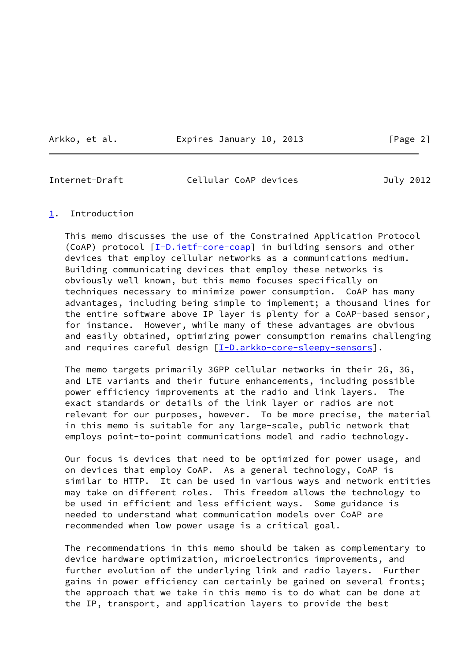Arkko, et al. **Expires January 10, 2013** [Page 2]

<span id="page-2-1"></span>Internet-Draft Cellular CoAP devices and July 2012

## <span id="page-2-0"></span>[1](#page-2-0). Introduction

 This memo discusses the use of the Constrained Application Protocol (CoAP) protocol [\[I-D.ietf-core-coap\]](#page-16-1) in building sensors and other devices that employ cellular networks as a communications medium. Building communicating devices that employ these networks is obviously well known, but this memo focuses specifically on techniques necessary to minimize power consumption. CoAP has many advantages, including being simple to implement; a thousand lines for the entire software above IP layer is plenty for a CoAP-based sensor, for instance. However, while many of these advantages are obvious and easily obtained, optimizing power consumption remains challenging and requires careful design [\[I-D.arkko-core-sleepy-sensors](#page-16-2)].

 The memo targets primarily 3GPP cellular networks in their 2G, 3G, and LTE variants and their future enhancements, including possible power efficiency improvements at the radio and link layers. The exact standards or details of the link layer or radios are not relevant for our purposes, however. To be more precise, the material in this memo is suitable for any large-scale, public network that employs point-to-point communications model and radio technology.

 Our focus is devices that need to be optimized for power usage, and on devices that employ CoAP. As a general technology, CoAP is similar to HTTP. It can be used in various ways and network entities may take on different roles. This freedom allows the technology to be used in efficient and less efficient ways. Some guidance is needed to understand what communication models over CoAP are recommended when low power usage is a critical goal.

 The recommendations in this memo should be taken as complementary to device hardware optimization, microelectronics improvements, and further evolution of the underlying link and radio layers. Further gains in power efficiency can certainly be gained on several fronts; the approach that we take in this memo is to do what can be done at the IP, transport, and application layers to provide the best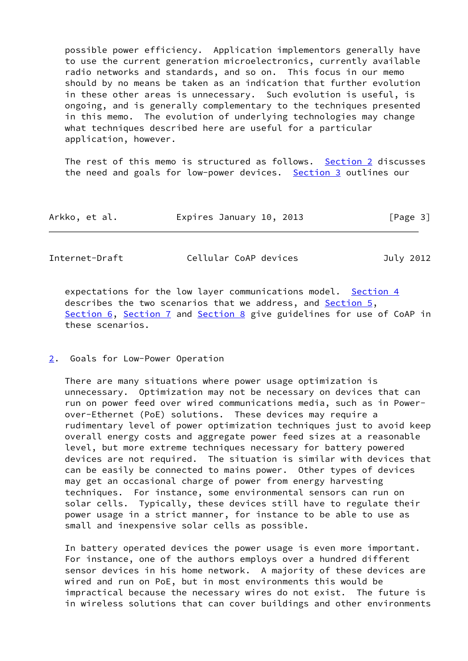possible power efficiency. Application implementors generally have to use the current generation microelectronics, currently available radio networks and standards, and so on. This focus in our memo should by no means be taken as an indication that further evolution in these other areas is unnecessary. Such evolution is useful, is ongoing, and is generally complementary to the techniques presented in this memo. The evolution of underlying technologies may change what techniques described here are useful for a particular application, however.

 The rest of this memo is structured as follows. [Section 2](#page-3-0) discusses the need and goals for low-power devices. [Section 3](#page-6-0) outlines our

| Arkko, et al. | Expires January 10, 2013 | [Page 3] |
|---------------|--------------------------|----------|
|               |                          |          |

<span id="page-3-1"></span>Internet-Draft Cellular CoAP devices July 2012

expectations for the low layer communications model. [Section 4](#page-9-0) describes the two scenarios that we address, and [Section 5](#page-9-2), [Section 6](#page-11-0), [Section 7](#page-12-0) and [Section 8](#page-13-0) give guidelines for use of CoAP in these scenarios.

#### <span id="page-3-0"></span>[2](#page-3-0). Goals for Low-Power Operation

 There are many situations where power usage optimization is unnecessary. Optimization may not be necessary on devices that can run on power feed over wired communications media, such as in Power over-Ethernet (PoE) solutions. These devices may require a rudimentary level of power optimization techniques just to avoid keep overall energy costs and aggregate power feed sizes at a reasonable level, but more extreme techniques necessary for battery powered devices are not required. The situation is similar with devices that can be easily be connected to mains power. Other types of devices may get an occasional charge of power from energy harvesting techniques. For instance, some environmental sensors can run on solar cells. Typically, these devices still have to regulate their power usage in a strict manner, for instance to be able to use as small and inexpensive solar cells as possible.

 In battery operated devices the power usage is even more important. For instance, one of the authors employs over a hundred different sensor devices in his home network. A majority of these devices are wired and run on PoE, but in most environments this would be impractical because the necessary wires do not exist. The future is in wireless solutions that can cover buildings and other environments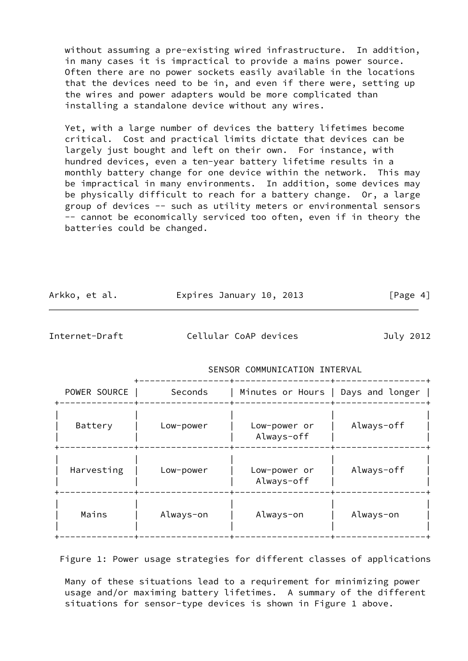without assuming a pre-existing wired infrastructure. In addition, in many cases it is impractical to provide a mains power source. Often there are no power sockets easily available in the locations that the devices need to be in, and even if there were, setting up the wires and power adapters would be more complicated than installing a standalone device without any wires.

 Yet, with a large number of devices the battery lifetimes become critical. Cost and practical limits dictate that devices can be largely just bought and left on their own. For instance, with hundred devices, even a ten-year battery lifetime results in a monthly battery change for one device within the network. This may be impractical in many environments. In addition, some devices may be physically difficult to reach for a battery change. Or, a large group of devices -- such as utility meters or environmental sensors -- cannot be economically serviced too often, even if in theory the batteries could be changed.

| Arkko, et al. | Expires January 10, 2013 | [Page 4] |
|---------------|--------------------------|----------|
|---------------|--------------------------|----------|

Internet-Draft Cellular CoAP devices July 2012

| POWER SOURCE | Seconds   | Minutes or Hours   Days and longer |            |
|--------------|-----------|------------------------------------|------------|
| Battery      | Low-power | Low-power or<br>Always-off         | Always-off |
| Harvesting   | Low-power | Low-power or<br>Always-off         | Always-off |
| Mains        | Always-on | Always-on                          | Always-on  |

Figure 1: Power usage strategies for different classes of applications

 Many of these situations lead to a requirement for minimizing power usage and/or maximing battery lifetimes. A summary of the different situations for sensor-type devices is shown in Figure 1 above.

SENSOR COMMUNICATION INTERVAL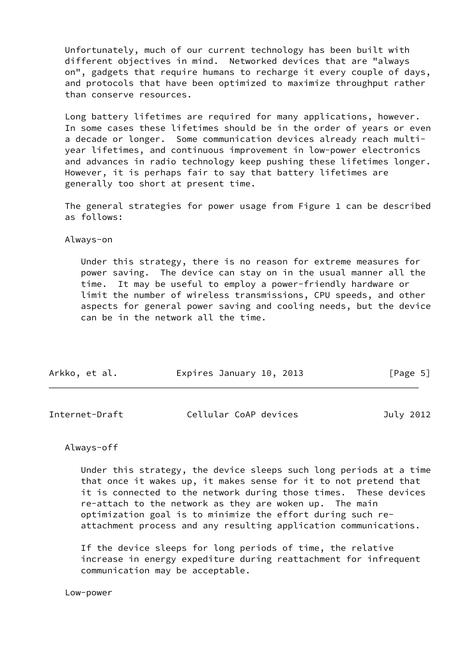Unfortunately, much of our current technology has been built with different objectives in mind. Networked devices that are "always on", gadgets that require humans to recharge it every couple of days, and protocols that have been optimized to maximize throughput rather than conserve resources.

 Long battery lifetimes are required for many applications, however. In some cases these lifetimes should be in the order of years or even a decade or longer. Some communication devices already reach multi year lifetimes, and continuous improvement in low-power electronics and advances in radio technology keep pushing these lifetimes longer. However, it is perhaps fair to say that battery lifetimes are generally too short at present time.

 The general strategies for power usage from Figure 1 can be described as follows:

Always-on

 Under this strategy, there is no reason for extreme measures for power saving. The device can stay on in the usual manner all the time. It may be useful to employ a power-friendly hardware or limit the number of wireless transmissions, CPU speeds, and other aspects for general power saving and cooling needs, but the device can be in the network all the time.

| Expires January 10, 2013<br>Arkko, et al. | [Page 5] |
|-------------------------------------------|----------|
|-------------------------------------------|----------|

| Internet-Draft | Cellular CoAP devices | July 2012 |  |
|----------------|-----------------------|-----------|--|
|                |                       |           |  |

# Always-off

 Under this strategy, the device sleeps such long periods at a time that once it wakes up, it makes sense for it to not pretend that it is connected to the network during those times. These devices re-attach to the network as they are woken up. The main optimization goal is to minimize the effort during such re attachment process and any resulting application communications.

 If the device sleeps for long periods of time, the relative increase in energy expediture during reattachment for infrequent communication may be acceptable.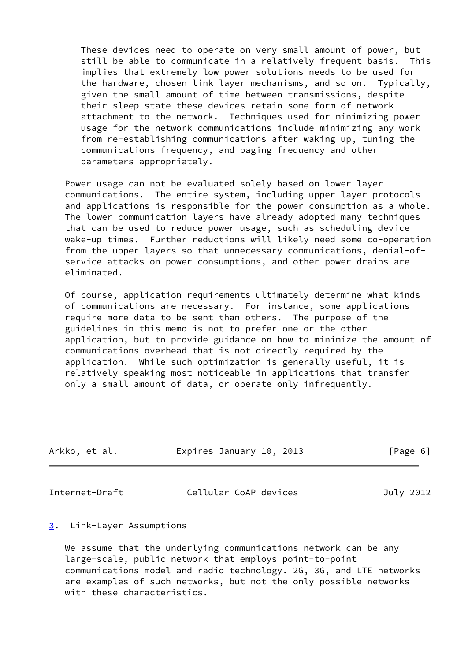These devices need to operate on very small amount of power, but still be able to communicate in a relatively frequent basis. This implies that extremely low power solutions needs to be used for the hardware, chosen link layer mechanisms, and so on. Typically, given the small amount of time between transmissions, despite their sleep state these devices retain some form of network attachment to the network. Techniques used for minimizing power usage for the network communications include minimizing any work from re-establishing communications after waking up, tuning the communications frequency, and paging frequency and other parameters appropriately.

 Power usage can not be evaluated solely based on lower layer communications. The entire system, including upper layer protocols and applications is responsible for the power consumption as a whole. The lower communication layers have already adopted many techniques that can be used to reduce power usage, such as scheduling device wake-up times. Further reductions will likely need some co-operation from the upper layers so that unnecessary communications, denial-of service attacks on power consumptions, and other power drains are eliminated.

 Of course, application requirements ultimately determine what kinds of communications are necessary. For instance, some applications require more data to be sent than others. The purpose of the guidelines in this memo is not to prefer one or the other application, but to provide guidance on how to minimize the amount of communications overhead that is not directly required by the application. While such optimization is generally useful, it is relatively speaking most noticeable in applications that transfer only a small amount of data, or operate only infrequently.

| Arkko, et al. | Expires January 10, 2013 | [Page 6] |
|---------------|--------------------------|----------|
|               |                          |          |

<span id="page-6-1"></span>Internet-Draft Cellular CoAP devices July 2012

# <span id="page-6-0"></span>[3](#page-6-0). Link-Layer Assumptions

We assume that the underlying communications network can be any large-scale, public network that employs point-to-point communications model and radio technology. 2G, 3G, and LTE networks are examples of such networks, but not the only possible networks with these characteristics.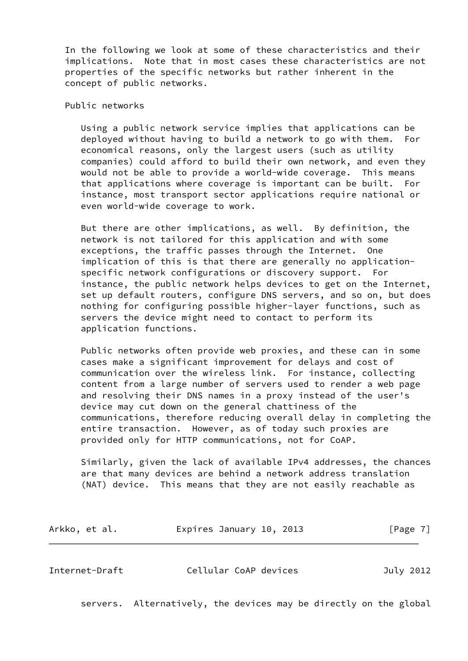In the following we look at some of these characteristics and their implications. Note that in most cases these characteristics are not properties of the specific networks but rather inherent in the concept of public networks.

Public networks

 Using a public network service implies that applications can be deployed without having to build a network to go with them. For economical reasons, only the largest users (such as utility companies) could afford to build their own network, and even they would not be able to provide a world-wide coverage. This means that applications where coverage is important can be built. For instance, most transport sector applications require national or even world-wide coverage to work.

 But there are other implications, as well. By definition, the network is not tailored for this application and with some exceptions, the traffic passes through the Internet. One implication of this is that there are generally no application specific network configurations or discovery support. For instance, the public network helps devices to get on the Internet, set up default routers, configure DNS servers, and so on, but does nothing for configuring possible higher-layer functions, such as servers the device might need to contact to perform its application functions.

 Public networks often provide web proxies, and these can in some cases make a significant improvement for delays and cost of communication over the wireless link. For instance, collecting content from a large number of servers used to render a web page and resolving their DNS names in a proxy instead of the user's device may cut down on the general chattiness of the communications, therefore reducing overall delay in completing the entire transaction. However, as of today such proxies are provided only for HTTP communications, not for CoAP.

 Similarly, given the lack of available IPv4 addresses, the chances are that many devices are behind a network address translation (NAT) device. This means that they are not easily reachable as

| Arkko, et al. | Expires January 10, 2013 | [Page 7] |
|---------------|--------------------------|----------|
|---------------|--------------------------|----------|

Internet-Draft Cellular CoAP devices July 2012

servers. Alternatively, the devices may be directly on the global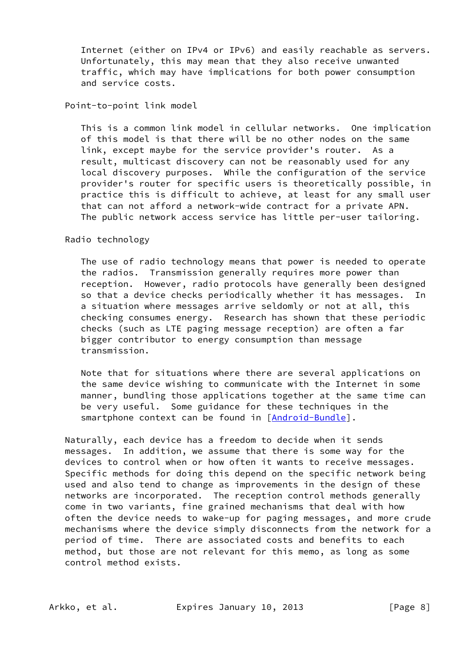Internet (either on IPv4 or IPv6) and easily reachable as servers. Unfortunately, this may mean that they also receive unwanted traffic, which may have implications for both power consumption and service costs.

Point-to-point link model

 This is a common link model in cellular networks. One implication of this model is that there will be no other nodes on the same link, except maybe for the service provider's router. As a result, multicast discovery can not be reasonably used for any local discovery purposes. While the configuration of the service provider's router for specific users is theoretically possible, in practice this is difficult to achieve, at least for any small user that can not afford a network-wide contract for a private APN. The public network access service has little per-user tailoring.

Radio technology

 The use of radio technology means that power is needed to operate the radios. Transmission generally requires more power than reception. However, radio protocols have generally been designed so that a device checks periodically whether it has messages. In a situation where messages arrive seldomly or not at all, this checking consumes energy. Research has shown that these periodic checks (such as LTE paging message reception) are often a far bigger contributor to energy consumption than message transmission.

 Note that for situations where there are several applications on the same device wishing to communicate with the Internet in some manner, bundling those applications together at the same time can be very useful. Some guidance for these techniques in the smartphone context can be found in [[Android-Bundle](#page-17-2)].

 Naturally, each device has a freedom to decide when it sends messages. In addition, we assume that there is some way for the devices to control when or how often it wants to receive messages. Specific methods for doing this depend on the specific network being used and also tend to change as improvements in the design of these networks are incorporated. The reception control methods generally come in two variants, fine grained mechanisms that deal with how often the device needs to wake-up for paging messages, and more crude mechanisms where the device simply disconnects from the network for a period of time. There are associated costs and benefits to each method, but those are not relevant for this memo, as long as some control method exists.

Arkko, et al. **Expires January 10, 2013** [Page 8]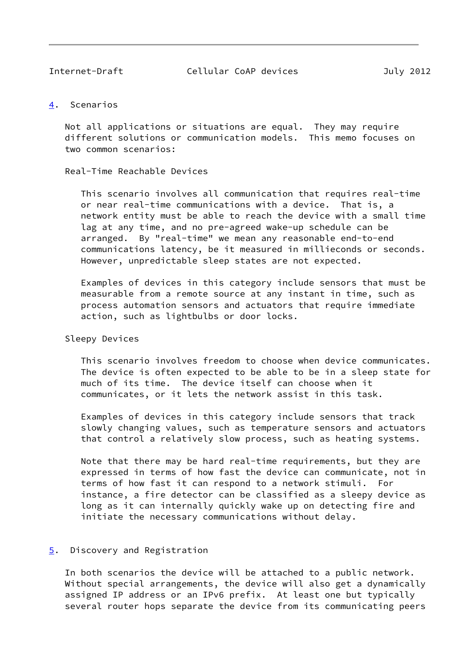## <span id="page-9-1"></span><span id="page-9-0"></span>[4](#page-9-0). Scenarios

 Not all applications or situations are equal. They may require different solutions or communication models. This memo focuses on two common scenarios:

### Real-Time Reachable Devices

 This scenario involves all communication that requires real-time or near real-time communications with a device. That is, a network entity must be able to reach the device with a small time lag at any time, and no pre-agreed wake-up schedule can be arranged. By "real-time" we mean any reasonable end-to-end communications latency, be it measured in millieconds or seconds. However, unpredictable sleep states are not expected.

 Examples of devices in this category include sensors that must be measurable from a remote source at any instant in time, such as process automation sensors and actuators that require immediate action, such as lightbulbs or door locks.

# Sleepy Devices

 This scenario involves freedom to choose when device communicates. The device is often expected to be able to be in a sleep state for much of its time. The device itself can choose when it communicates, or it lets the network assist in this task.

 Examples of devices in this category include sensors that track slowly changing values, such as temperature sensors and actuators that control a relatively slow process, such as heating systems.

 Note that there may be hard real-time requirements, but they are expressed in terms of how fast the device can communicate, not in terms of how fast it can respond to a network stimuli. For instance, a fire detector can be classified as a sleepy device as long as it can internally quickly wake up on detecting fire and initiate the necessary communications without delay.

# <span id="page-9-2"></span>[5](#page-9-2). Discovery and Registration

 In both scenarios the device will be attached to a public network. Without special arrangements, the device will also get a dynamically assigned IP address or an IPv6 prefix. At least one but typically several router hops separate the device from its communicating peers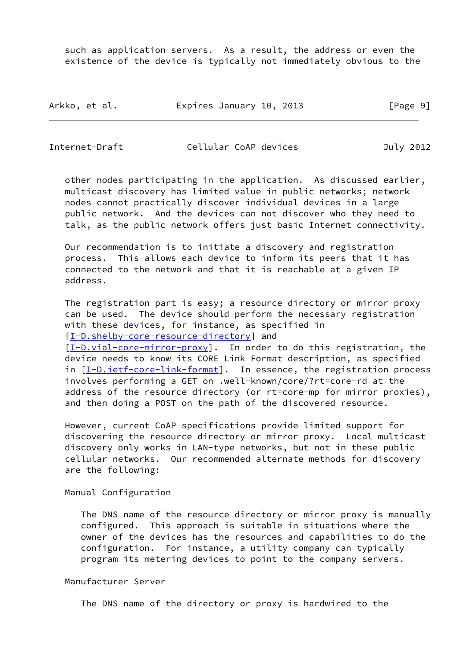such as application servers. As a result, the address or even the existence of the device is typically not immediately obvious to the

| Arkko, et al. | Expires January 10, 2013 | [Page 9] |
|---------------|--------------------------|----------|
|---------------|--------------------------|----------|

Internet-Draft Cellular CoAP devices July 2012

 other nodes participating in the application. As discussed earlier, multicast discovery has limited value in public networks; network nodes cannot practically discover individual devices in a large public network. And the devices can not discover who they need to talk, as the public network offers just basic Internet connectivity.

 Our recommendation is to initiate a discovery and registration process. This allows each device to inform its peers that it has connected to the network and that it is reachable at a given IP address.

 The registration part is easy; a resource directory or mirror proxy can be used. The device should perform the necessary registration with these devices, for instance, as specified in [\[I-D.shelby-core-resource-directory\]](#page-16-3) and [\[I-D.vial-core-mirror-proxy\]](#page-16-4). In order to do this registration, the

 device needs to know its CORE Link Format description, as specified in  $[I-D.iett-core-link-format]$ . In essence, the registration process involves performing a GET on .well-known/core/?rt=core-rd at the address of the resource directory (or rt=core-mp for mirror proxies), and then doing a POST on the path of the discovered resource.

 However, current CoAP specifications provide limited support for discovering the resource directory or mirror proxy. Local multicast discovery only works in LAN-type networks, but not in these public cellular networks. Our recommended alternate methods for discovery are the following:

Manual Configuration

 The DNS name of the resource directory or mirror proxy is manually configured. This approach is suitable in situations where the owner of the devices has the resources and capabilities to do the configuration. For instance, a utility company can typically program its metering devices to point to the company servers.

Manufacturer Server

The DNS name of the directory or proxy is hardwired to the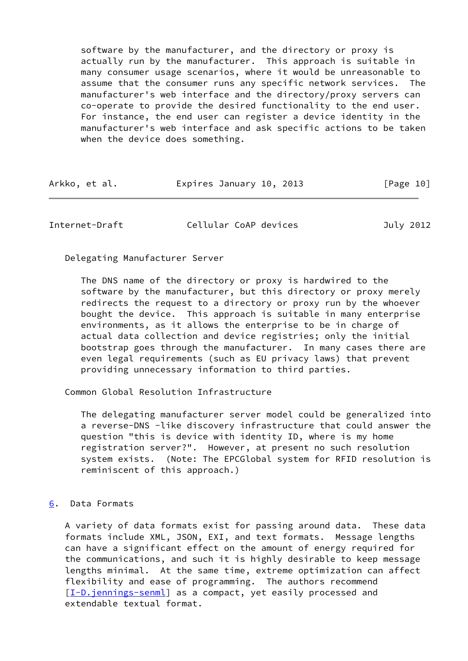software by the manufacturer, and the directory or proxy is actually run by the manufacturer. This approach is suitable in many consumer usage scenarios, where it would be unreasonable to assume that the consumer runs any specific network services. The manufacturer's web interface and the directory/proxy servers can co-operate to provide the desired functionality to the end user. For instance, the end user can register a device identity in the manufacturer's web interface and ask specific actions to be taken when the device does something.

| Arkko, et al. | Expires January 10, 2013 | [Page 10] |
|---------------|--------------------------|-----------|
|---------------|--------------------------|-----------|

<span id="page-11-1"></span>Internet-Draft Cellular CoAP devices July 2012

Delegating Manufacturer Server

 The DNS name of the directory or proxy is hardwired to the software by the manufacturer, but this directory or proxy merely redirects the request to a directory or proxy run by the whoever bought the device. This approach is suitable in many enterprise environments, as it allows the enterprise to be in charge of actual data collection and device registries; only the initial bootstrap goes through the manufacturer. In many cases there are even legal requirements (such as EU privacy laws) that prevent providing unnecessary information to third parties.

Common Global Resolution Infrastructure

 The delegating manufacturer server model could be generalized into a reverse-DNS -like discovery infrastructure that could answer the question "this is device with identity ID, where is my home registration server?". However, at present no such resolution system exists. (Note: The EPCGlobal system for RFID resolution is reminiscent of this approach.)

<span id="page-11-0"></span>[6](#page-11-0). Data Formats

 A variety of data formats exist for passing around data. These data formats include XML, JSON, EXI, and text formats. Message lengths can have a significant effect on the amount of energy required for the communications, and such it is highly desirable to keep message lengths minimal. At the same time, extreme optimization can affect flexibility and ease of programming. The authors recommend [\[I-D.jennings-senml\]](#page-16-6) as a compact, yet easily processed and extendable textual format.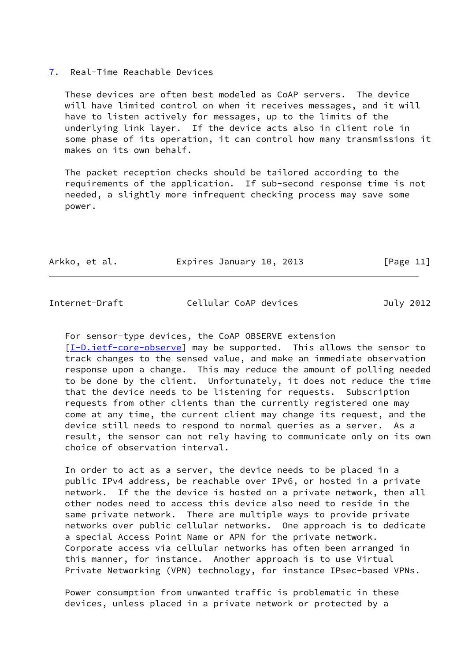#### <span id="page-12-0"></span>[7](#page-12-0). Real-Time Reachable Devices

 These devices are often best modeled as CoAP servers. The device will have limited control on when it receives messages, and it will have to listen actively for messages, up to the limits of the underlying link layer. If the device acts also in client role in some phase of its operation, it can control how many transmissions it makes on its own behalf.

 The packet reception checks should be tailored according to the requirements of the application. If sub-second response time is not needed, a slightly more infrequent checking process may save some power.

| Arkko, et al. | Expires January 10, 2013 | [Page 11] |
|---------------|--------------------------|-----------|

<span id="page-12-1"></span>

Cellular CoAP devices July 2012

 For sensor-type devices, the CoAP OBSERVE extension [\[I-D.ietf-core-observe](#page-16-7)] may be supported. This allows the sensor to track changes to the sensed value, and make an immediate observation response upon a change. This may reduce the amount of polling needed to be done by the client. Unfortunately, it does not reduce the time that the device needs to be listening for requests. Subscription requests from other clients than the currently registered one may come at any time, the current client may change its request, and the device still needs to respond to normal queries as a server. As a result, the sensor can not rely having to communicate only on its own choice of observation interval.

 In order to act as a server, the device needs to be placed in a public IPv4 address, be reachable over IPv6, or hosted in a private network. If the the device is hosted on a private network, then all other nodes need to access this device also need to reside in the same private network. There are multiple ways to provide private networks over public cellular networks. One approach is to dedicate a special Access Point Name or APN for the private network. Corporate access via cellular networks has often been arranged in this manner, for instance. Another approach is to use Virtual Private Networking (VPN) technology, for instance IPsec-based VPNs.

 Power consumption from unwanted traffic is problematic in these devices, unless placed in a private network or protected by a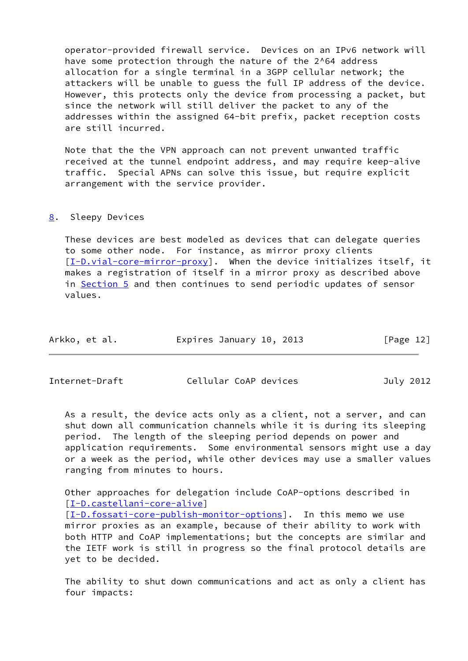operator-provided firewall service. Devices on an IPv6 network will have some protection through the nature of the 2^64 address allocation for a single terminal in a 3GPP cellular network; the attackers will be unable to guess the full IP address of the device. However, this protects only the device from processing a packet, but since the network will still deliver the packet to any of the addresses within the assigned 64-bit prefix, packet reception costs are still incurred.

 Note that the the VPN approach can not prevent unwanted traffic received at the tunnel endpoint address, and may require keep-alive traffic. Special APNs can solve this issue, but require explicit arrangement with the service provider.

## <span id="page-13-0"></span>[8](#page-13-0). Sleepy Devices

 These devices are best modeled as devices that can delegate queries to some other node. For instance, as mirror proxy clients [\[I-D.vial-core-mirror-proxy\]](#page-16-4). When the device initializes itself, it makes a registration of itself in a mirror proxy as described above in [Section 5](#page-9-2) and then continues to send periodic updates of sensor values.

|  | Arkko, et al. | Expires January 10, 2013 | [Page 12] |
|--|---------------|--------------------------|-----------|
|--|---------------|--------------------------|-----------|

<span id="page-13-1"></span>Internet-Draft Cellular CoAP devices July 2012

 As a result, the device acts only as a client, not a server, and can shut down all communication channels while it is during its sleeping period. The length of the sleeping period depends on power and application requirements. Some environmental sensors might use a day or a week as the period, while other devices may use a smaller values ranging from minutes to hours.

 Other approaches for delegation include CoAP-options described in [\[I-D.castellani-core-alive](#page-17-3)]

 [\[I-D.fossati-core-publish-monitor-options](#page-17-4)]. In this memo we use mirror proxies as an example, because of their ability to work with both HTTP and CoAP implementations; but the concepts are similar and the IETF work is still in progress so the final protocol details are yet to be decided.

 The ability to shut down communications and act as only a client has four impacts: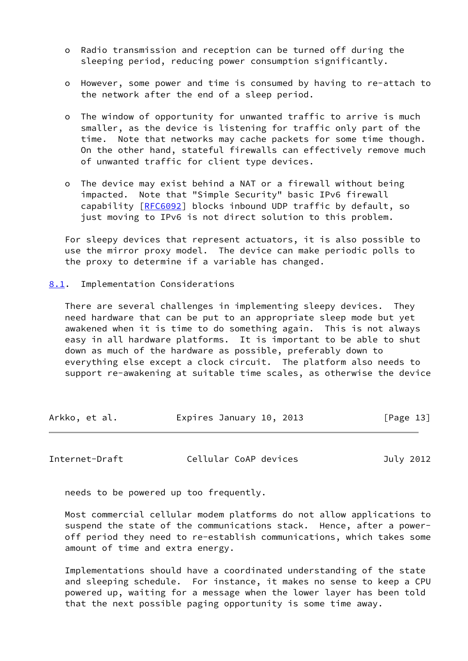- o Radio transmission and reception can be turned off during the sleeping period, reducing power consumption significantly.
- o However, some power and time is consumed by having to re-attach to the network after the end of a sleep period.
- o The window of opportunity for unwanted traffic to arrive is much smaller, as the device is listening for traffic only part of the time. Note that networks may cache packets for some time though. On the other hand, stateful firewalls can effectively remove much of unwanted traffic for client type devices.
- o The device may exist behind a NAT or a firewall without being impacted. Note that "Simple Security" basic IPv6 firewall capability [[RFC6092](https://datatracker.ietf.org/doc/pdf/rfc6092)] blocks inbound UDP traffic by default, so just moving to IPv6 is not direct solution to this problem.

 For sleepy devices that represent actuators, it is also possible to use the mirror proxy model. The device can make periodic polls to the proxy to determine if a variable has changed.

<span id="page-14-0"></span>[8.1](#page-14-0). Implementation Considerations

 There are several challenges in implementing sleepy devices. They need hardware that can be put to an appropriate sleep mode but yet awakened when it is time to do something again. This is not always easy in all hardware platforms. It is important to be able to shut down as much of the hardware as possible, preferably down to everything else except a clock circuit. The platform also needs to support re-awakening at suitable time scales, as otherwise the device

| Arkko, et al. | Expires January 10, 2013 | [Page 13] |
|---------------|--------------------------|-----------|
|---------------|--------------------------|-----------|

<span id="page-14-1"></span>Internet-Draft Cellular CoAP devices July 2012

needs to be powered up too frequently.

 Most commercial cellular modem platforms do not allow applications to suspend the state of the communications stack. Hence, after a power off period they need to re-establish communications, which takes some amount of time and extra energy.

 Implementations should have a coordinated understanding of the state and sleeping schedule. For instance, it makes no sense to keep a CPU powered up, waiting for a message when the lower layer has been told that the next possible paging opportunity is some time away.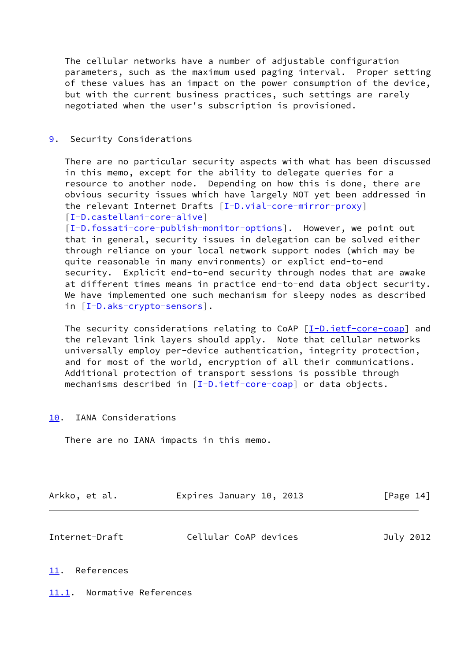The cellular networks have a number of adjustable configuration parameters, such as the maximum used paging interval. Proper setting of these values has an impact on the power consumption of the device, but with the current business practices, such settings are rarely negotiated when the user's subscription is provisioned.

# <span id="page-15-0"></span>[9](#page-15-0). Security Considerations

 There are no particular security aspects with what has been discussed in this memo, except for the ability to delegate queries for a resource to another node. Depending on how this is done, there are obvious security issues which have largely NOT yet been addressed in the relevant Internet Drafts [\[I-D.vial-core-mirror-proxy\]](#page-16-4) [\[I-D.castellani-core-alive](#page-17-3)]

 [\[I-D.fossati-core-publish-monitor-options](#page-17-4)]. However, we point out that in general, security issues in delegation can be solved either through reliance on your local network support nodes (which may be quite reasonable in many environments) or explict end-to-end security. Explicit end-to-end security through nodes that are awake at different times means in practice end-to-end data object security. We have implemented one such mechanism for sleepy nodes as described in [[I-D.aks-crypto-sensors](#page-17-5)].

The security considerations relating to CoAP [\[I-D.ietf-core-coap\]](#page-16-1) and the relevant link layers should apply. Note that cellular networks universally employ per-device authentication, integrity protection, and for most of the world, encryption of all their communications. Additional protection of transport sessions is possible through mechanisms described in [\[I-D.ietf-core-coap\]](#page-16-1) or data objects.

<span id="page-15-1"></span>[10.](#page-15-1) IANA Considerations

There are no IANA impacts in this memo.

<span id="page-15-3"></span>

| Arkko, et al.  | Expires January 10, 2013 | [Page 14] |
|----------------|--------------------------|-----------|
| Internet-Draft | Cellular CoAP devices    | July 2012 |

# <span id="page-15-2"></span>[11.](#page-15-2) References

<span id="page-15-4"></span>[11.1](#page-15-4). Normative References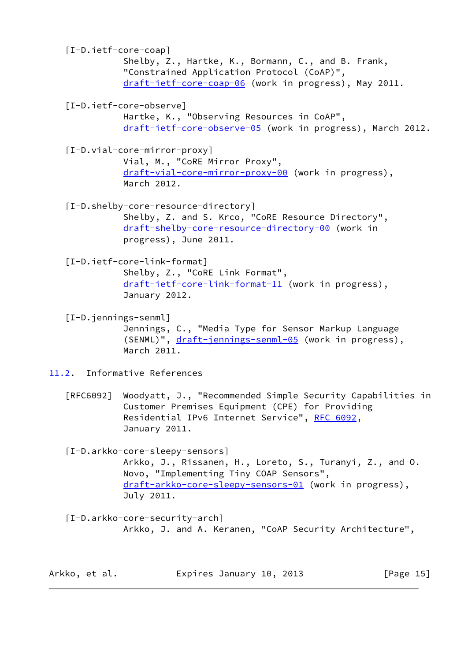<span id="page-16-1"></span> [I-D.ietf-core-coap] Shelby, Z., Hartke, K., Bormann, C., and B. Frank, "Constrained Application Protocol (CoAP)", [draft-ietf-core-coap-06](https://datatracker.ietf.org/doc/pdf/draft-ietf-core-coap-06) (work in progress), May 2011. [I-D.ietf-core-observe]

<span id="page-16-7"></span> Hartke, K., "Observing Resources in CoAP", [draft-ietf-core-observe-05](https://datatracker.ietf.org/doc/pdf/draft-ietf-core-observe-05) (work in progress), March 2012.

<span id="page-16-4"></span>[I-D.vial-core-mirror-proxy]

 Vial, M., "CoRE Mirror Proxy", [draft-vial-core-mirror-proxy-00](https://datatracker.ietf.org/doc/pdf/draft-vial-core-mirror-proxy-00) (work in progress), March 2012.

- <span id="page-16-3"></span> [I-D.shelby-core-resource-directory] Shelby, Z. and S. Krco, "CoRE Resource Directory", [draft-shelby-core-resource-directory-00](https://datatracker.ietf.org/doc/pdf/draft-shelby-core-resource-directory-00) (work in progress), June 2011.
- <span id="page-16-5"></span> [I-D.ietf-core-link-format] Shelby, Z., "CoRE Link Format", [draft-ietf-core-link-format-11](https://datatracker.ietf.org/doc/pdf/draft-ietf-core-link-format-11) (work in progress), January 2012.
- <span id="page-16-6"></span> [I-D.jennings-senml] Jennings, C., "Media Type for Sensor Markup Language (SENML)", [draft-jennings-senml-05](https://datatracker.ietf.org/doc/pdf/draft-jennings-senml-05) (work in progress), March 2011.

<span id="page-16-0"></span>[11.2](#page-16-0). Informative References

 [RFC6092] Woodyatt, J., "Recommended Simple Security Capabilities in Customer Premises Equipment (CPE) for Providing Residential IPv6 Internet Service", [RFC 6092,](https://datatracker.ietf.org/doc/pdf/rfc6092) January 2011.

<span id="page-16-2"></span> [I-D.arkko-core-sleepy-sensors] Arkko, J., Rissanen, H., Loreto, S., Turanyi, Z., and O. Novo, "Implementing Tiny COAP Sensors", [draft-arkko-core-sleepy-sensors-01](https://datatracker.ietf.org/doc/pdf/draft-arkko-core-sleepy-sensors-01) (work in progress), July 2011.

 [I-D.arkko-core-security-arch] Arkko, J. and A. Keranen, "CoAP Security Architecture",

Arkko, et al. **Expires January 10, 2013** [Page 15]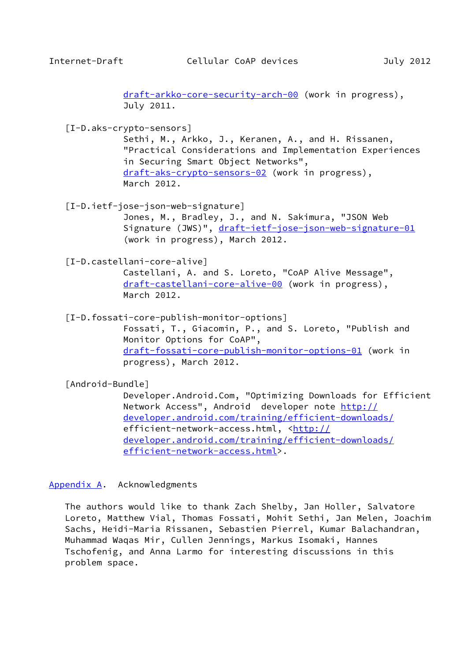[draft-arkko-core-security-arch-00](https://datatracker.ietf.org/doc/pdf/draft-arkko-core-security-arch-00) (work in progress), July 2011.

<span id="page-17-5"></span><span id="page-17-1"></span>[I-D.aks-crypto-sensors]

 Sethi, M., Arkko, J., Keranen, A., and H. Rissanen, "Practical Considerations and Implementation Experiences in Securing Smart Object Networks", [draft-aks-crypto-sensors-02](https://datatracker.ietf.org/doc/pdf/draft-aks-crypto-sensors-02) (work in progress), March 2012.

[I-D.ietf-jose-json-web-signature]

 Jones, M., Bradley, J., and N. Sakimura, "JSON Web Signature (JWS)", [draft-ietf-jose-json-web-signature-01](https://datatracker.ietf.org/doc/pdf/draft-ietf-jose-json-web-signature-01) (work in progress), March 2012.

<span id="page-17-3"></span>[I-D.castellani-core-alive]

 Castellani, A. and S. Loreto, "CoAP Alive Message", [draft-castellani-core-alive-00](https://datatracker.ietf.org/doc/pdf/draft-castellani-core-alive-00) (work in progress), March 2012.

<span id="page-17-4"></span>[I-D.fossati-core-publish-monitor-options]

 Fossati, T., Giacomin, P., and S. Loreto, "Publish and Monitor Options for CoAP", [draft-fossati-core-publish-monitor-options-01](https://datatracker.ietf.org/doc/pdf/draft-fossati-core-publish-monitor-options-01) (work in progress), March 2012.

<span id="page-17-2"></span>[Android-Bundle]

 Developer.Android.Com, "Optimizing Downloads for Efficient Network Access", Android developer note [http://](http://developer.android.com/training/efficient-downloads/) [developer.android.com/training/efficient-downloads/](http://developer.android.com/training/efficient-downloads/) efficient-network-access.html, <[http://](http://developer.android.com/training/efficient-downloads/efficient-network-access.html) [developer.android.com/training/efficient-downloads/](http://developer.android.com/training/efficient-downloads/efficient-network-access.html) [efficient-network-access.html>](http://developer.android.com/training/efficient-downloads/efficient-network-access.html).

<span id="page-17-0"></span>[Appendix A.](#page-17-0) Acknowledgments

 The authors would like to thank Zach Shelby, Jan Holler, Salvatore Loreto, Matthew Vial, Thomas Fossati, Mohit Sethi, Jan Melen, Joachim Sachs, Heidi-Maria Rissanen, Sebastien Pierrel, Kumar Balachandran, Muhammad Waqas Mir, Cullen Jennings, Markus Isomaki, Hannes Tschofenig, and Anna Larmo for interesting discussions in this problem space.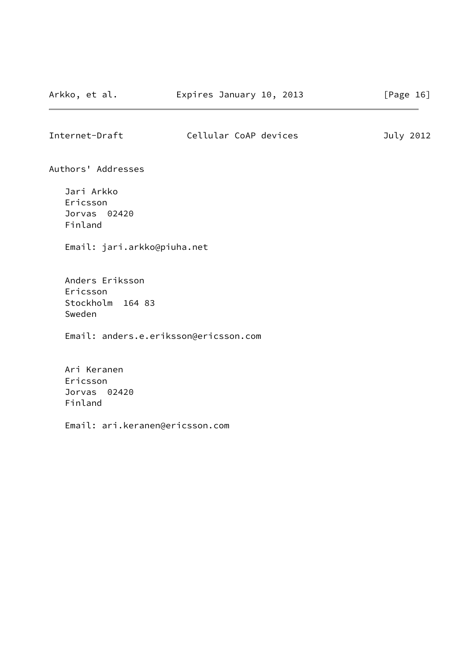# Internet-Draft Cellular CoAP devices July 2012

Authors' Addresses

 Jari Arkko Ericsson Jorvas 02420 Finland

Email: jari.arkko@piuha.net

 Anders Eriksson Ericsson Stockholm 164 83 Sweden

Email: anders.e.eriksson@ericsson.com

 Ari Keranen Ericsson Jorvas 02420 Finland

Email: ari.keranen@ericsson.com